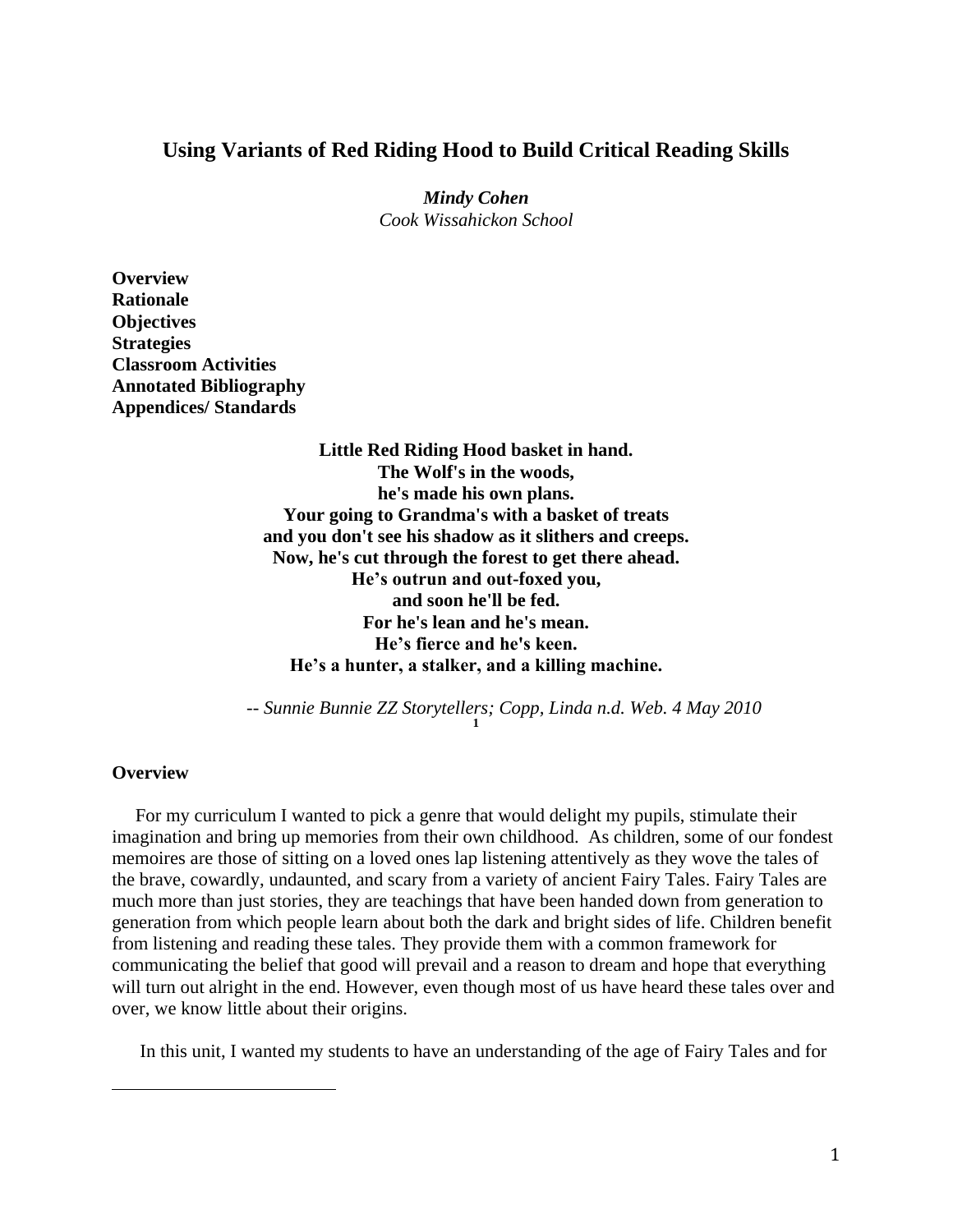# **Using Variants of Red Riding Hood to Build Critical Reading Skills**

*Mindy Cohen Cook Wissahickon School*

**Overview Rationale Objectives Strategies Classroom Activities Annotated Bibliography Appendices/ Standards**

> **Little Red Riding Hood basket in hand. The Wolf's in the woods, he's made his own plans. Your going to Grandma's with a basket of treats and you don't see his shadow as it slithers and creeps. Now, he's cut through the forest to get there ahead. He's outrun and out-foxed you, and soon he'll be fed. For he's lean and he's mean. He's fierce and he's keen. He's a hunter, a stalker, and a killing machine.**

*-- Sunnie Bunnie ZZ Storytellers; Copp, Linda n.d. Web. 4 May 2010* **1**

#### **Overview**

 $\overline{a}$ 

 For my curriculum I wanted to pick a genre that would delight my pupils, stimulate their imagination and bring up memories from their own childhood. As children, some of our fondest memoires are those of sitting on a loved ones lap listening attentively as they wove the tales of the brave, cowardly, undaunted, and scary from a variety of ancient Fairy Tales. Fairy Tales are much more than just stories, they are teachings that have been handed down from generation to generation from which people learn about both the dark and bright sides of life. Children benefit from listening and reading these tales. They provide them with a common framework for communicating the belief that good will prevail and a reason to dream and hope that everything will turn out alright in the end. However, even though most of us have heard these tales over and over, we know little about their origins.

In this unit, I wanted my students to have an understanding of the age of Fairy Tales and for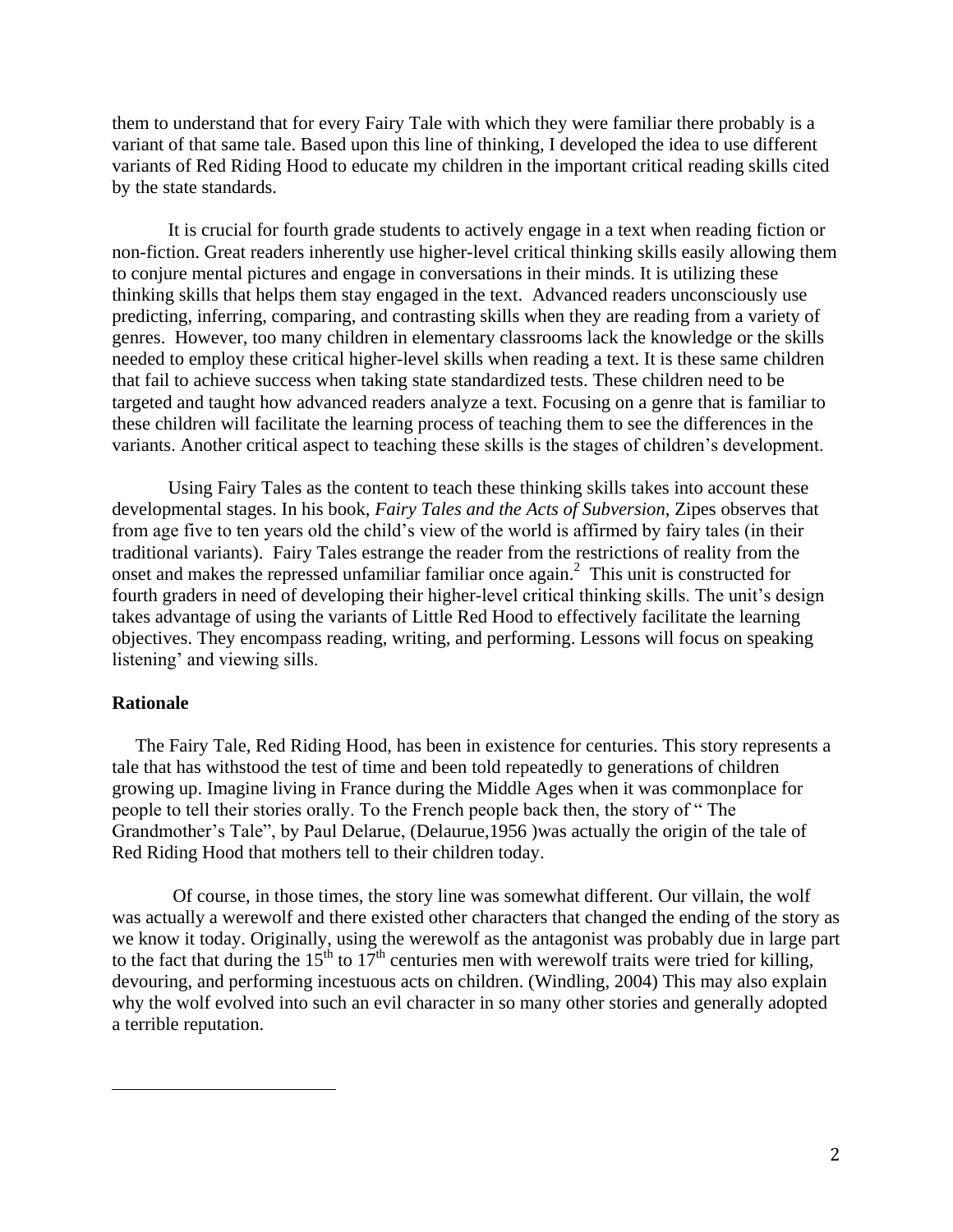them to understand that for every Fairy Tale with which they were familiar there probably is a variant of that same tale. Based upon this line of thinking, I developed the idea to use different variants of Red Riding Hood to educate my children in the important critical reading skills cited by the state standards.

It is crucial for fourth grade students to actively engage in a text when reading fiction or non-fiction. Great readers inherently use higher-level critical thinking skills easily allowing them to conjure mental pictures and engage in conversations in their minds. It is utilizing these thinking skills that helps them stay engaged in the text. Advanced readers unconsciously use predicting, inferring, comparing, and contrasting skills when they are reading from a variety of genres. However, too many children in elementary classrooms lack the knowledge or the skills needed to employ these critical higher-level skills when reading a text. It is these same children that fail to achieve success when taking state standardized tests. These children need to be targeted and taught how advanced readers analyze a text. Focusing on a genre that is familiar to these children will facilitate the learning process of teaching them to see the differences in the variants. Another critical aspect to teaching these skills is the stages of children's development.

Using Fairy Tales as the content to teach these thinking skills takes into account these developmental stages. In his book, *Fairy Tales and the Acts of Subversion*, Zipes observes that from age five to ten years old the child's view of the world is affirmed by fairy tales (in their traditional variants). Fairy Tales estrange the reader from the restrictions of reality from the onset and makes the repressed unfamiliar familiar once again.<sup>2</sup> This unit is constructed for fourth graders in need of developing their higher-level critical thinking skills. The unit's design takes advantage of using the variants of Little Red Hood to effectively facilitate the learning objectives. They encompass reading, writing, and performing. Lessons will focus on speaking listening' and viewing sills.

#### **Rationale**

 $\overline{a}$ 

 The Fairy Tale, Red Riding Hood, has been in existence for centuries. This story represents a tale that has withstood the test of time and been told repeatedly to generations of children growing up. Imagine living in France during the Middle Ages when it was commonplace for people to tell their stories orally. To the French people back then, the story of " The Grandmother's Tale", by Paul Delarue, (Delaurue,1956 )was actually the origin of the tale of Red Riding Hood that mothers tell to their children today.

Of course, in those times, the story line was somewhat different. Our villain, the wolf was actually a werewolf and there existed other characters that changed the ending of the story as we know it today. Originally, using the werewolf as the antagonist was probably due in large part to the fact that during the  $15<sup>th</sup>$  to  $17<sup>th</sup>$  centuries men with werewolf traits were tried for killing, devouring, and performing incestuous acts on children. (Windling, 2004) This may also explain why the wolf evolved into such an evil character in so many other stories and generally adopted a terrible reputation.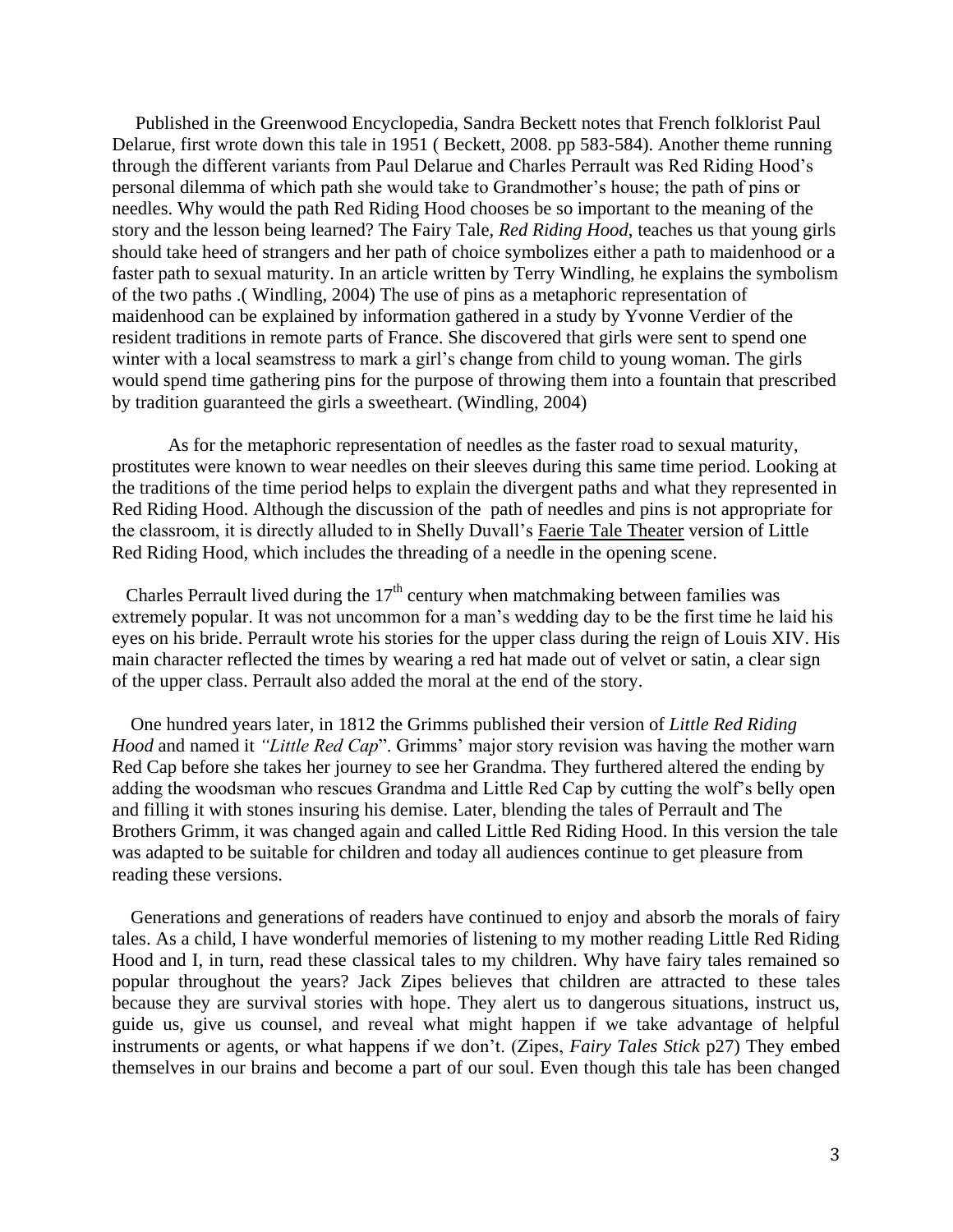Published in the Greenwood Encyclopedia, Sandra Beckett notes that French folklorist Paul Delarue, first wrote down this tale in 1951 ( Beckett, 2008. pp 583-584). Another theme running through the different variants from Paul Delarue and Charles Perrault was Red Riding Hood's personal dilemma of which path she would take to Grandmother's house; the path of pins or needles. Why would the path Red Riding Hood chooses be so important to the meaning of the story and the lesson being learned? The Fairy Tale, *Red Riding Hood*, teaches us that young girls should take heed of strangers and her path of choice symbolizes either a path to maidenhood or a faster path to sexual maturity. In an article written by Terry Windling, he explains the symbolism of the two paths .( Windling, 2004) The use of pins as a metaphoric representation of maidenhood can be explained by information gathered in a study by Yvonne Verdier of the resident traditions in remote parts of France. She discovered that girls were sent to spend one winter with a local seamstress to mark a girl's change from child to young woman. The girls would spend time gathering pins for the purpose of throwing them into a fountain that prescribed by tradition guaranteed the girls a sweetheart. (Windling, 2004)

As for the metaphoric representation of needles as the faster road to sexual maturity, prostitutes were known to wear needles on their sleeves during this same time period. Looking at the traditions of the time period helps to explain the divergent paths and what they represented in Red Riding Hood. Although the discussion of the path of needles and pins is not appropriate for the classroom, it is directly alluded to in Shelly Duvall's Faerie Tale Theater version of Little Red Riding Hood, which includes the threading of a needle in the opening scene.

Charles Perrault lived during the  $17<sup>th</sup>$  century when matchmaking between families was extremely popular. It was not uncommon for a man's wedding day to be the first time he laid his eyes on his bride. Perrault wrote his stories for the upper class during the reign of Louis XIV. His main character reflected the times by wearing a red hat made out of velvet or satin, a clear sign of the upper class. Perrault also added the moral at the end of the story.

 One hundred years later, in 1812 the Grimms published their version of *Little Red Riding Hood* and named it *"Little Red Cap*". Grimms' major story revision was having the mother warn Red Cap before she takes her journey to see her Grandma. They furthered altered the ending by adding the woodsman who rescues Grandma and Little Red Cap by cutting the wolf's belly open and filling it with stones insuring his demise. Later, blending the tales of Perrault and The Brothers Grimm, it was changed again and called Little Red Riding Hood. In this version the tale was adapted to be suitable for children and today all audiences continue to get pleasure from reading these versions.

 Generations and generations of readers have continued to enjoy and absorb the morals of fairy tales. As a child, I have wonderful memories of listening to my mother reading Little Red Riding Hood and I, in turn, read these classical tales to my children. Why have fairy tales remained so popular throughout the years? Jack Zipes believes that children are attracted to these tales because they are survival stories with hope. They alert us to dangerous situations, instruct us, guide us, give us counsel, and reveal what might happen if we take advantage of helpful instruments or agents, or what happens if we don't. (Zipes, *Fairy Tales Stick* p27) They embed themselves in our brains and become a part of our soul. Even though this tale has been changed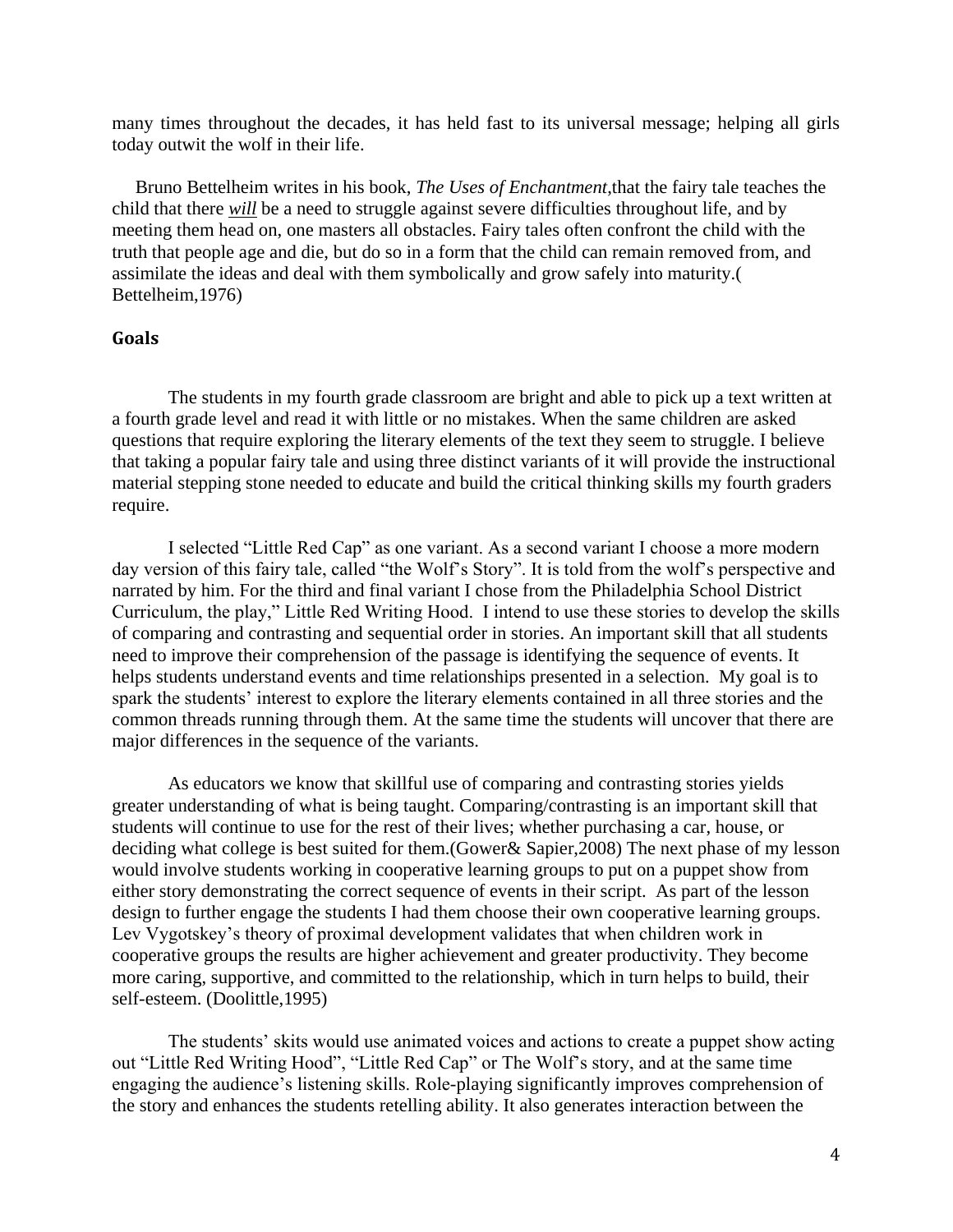many times throughout the decades, it has held fast to its universal message; helping all girls today outwit the wolf in their life.

 Bruno Bettelheim writes in his book, *The Uses of Enchantment*,that the fairy tale teaches the child that there *will* be a need to struggle against severe difficulties throughout life, and by meeting them head on, one masters all obstacles. Fairy tales often confront the child with the truth that people age and die, but do so in a form that the child can remain removed from, and assimilate the ideas and deal with them symbolically and grow safely into maturity.( Bettelheim,1976)

# **Goals**

The students in my fourth grade classroom are bright and able to pick up a text written at a fourth grade level and read it with little or no mistakes. When the same children are asked questions that require exploring the literary elements of the text they seem to struggle. I believe that taking a popular fairy tale and using three distinct variants of it will provide the instructional material stepping stone needed to educate and build the critical thinking skills my fourth graders require.

I selected "Little Red Cap" as one variant. As a second variant I choose a more modern day version of this fairy tale, called "the Wolf's Story". It is told from the wolf's perspective and narrated by him. For the third and final variant I chose from the Philadelphia School District Curriculum, the play," Little Red Writing Hood. I intend to use these stories to develop the skills of comparing and contrasting and sequential order in stories. An important skill that all students need to improve their comprehension of the passage is identifying the sequence of events. It helps students understand events and time relationships presented in a selection. My goal is to spark the students' interest to explore the literary elements contained in all three stories and the common threads running through them. At the same time the students will uncover that there are major differences in the sequence of the variants.

As educators we know that skillful use of comparing and contrasting stories yields greater understanding of what is being taught. Comparing/contrasting is an important skill that students will continue to use for the rest of their lives; whether purchasing a car, house, or deciding what college is best suited for them.(Gower& Sapier,2008) The next phase of my lesson would involve students working in cooperative learning groups to put on a puppet show from either story demonstrating the correct sequence of events in their script. As part of the lesson design to further engage the students I had them choose their own cooperative learning groups. Lev Vygotskey's theory of proximal development validates that when children work in cooperative groups the results are higher achievement and greater productivity. They become more caring, supportive, and committed to the relationship, which in turn helps to build, their self-esteem. (Doolittle,1995)

The students' skits would use animated voices and actions to create a puppet show acting out "Little Red Writing Hood", "Little Red Cap" or The Wolf's story, and at the same time engaging the audience's listening skills. Role-playing significantly improves comprehension of the story and enhances the students retelling ability. It also generates interaction between the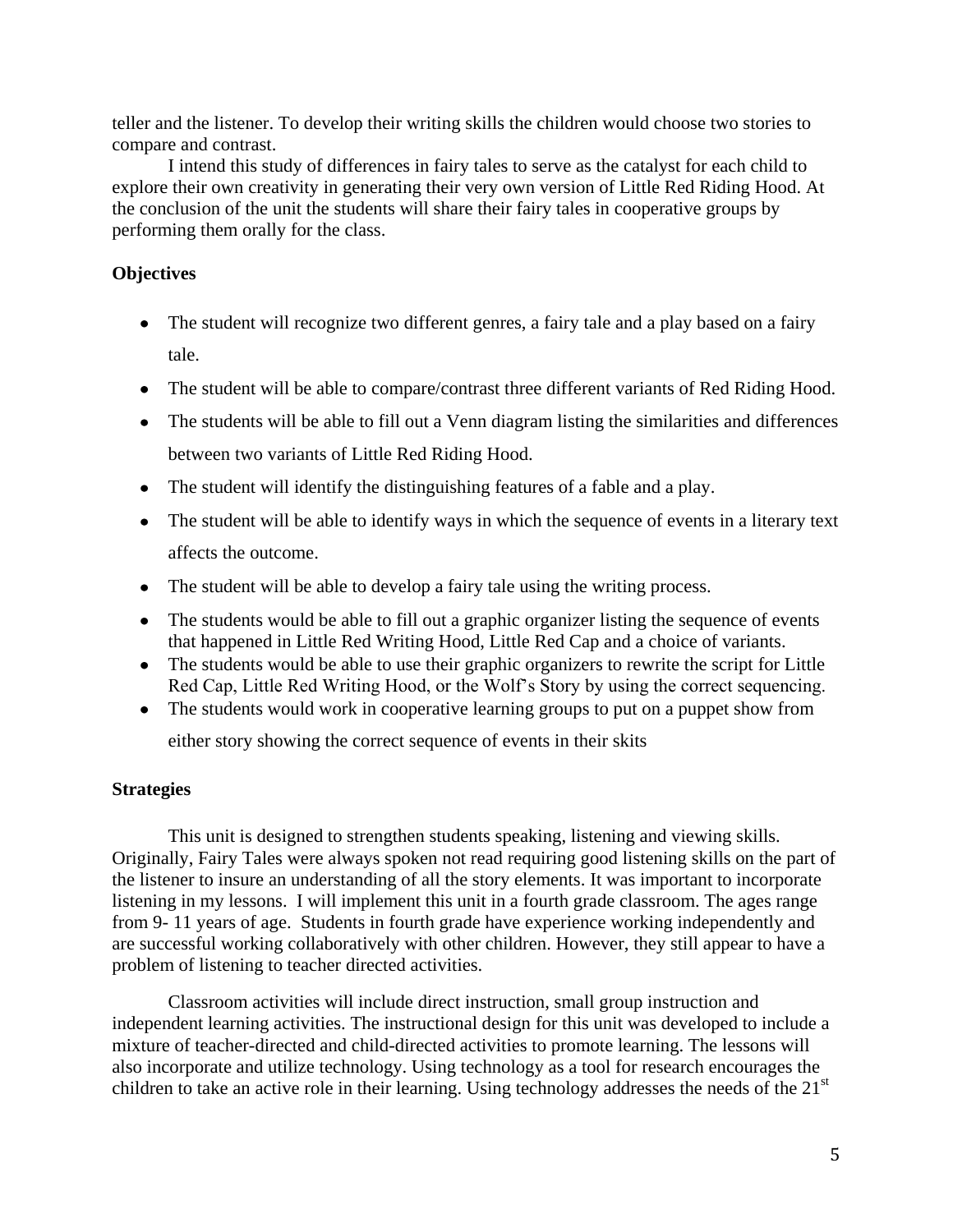teller and the listener. To develop their writing skills the children would choose two stories to compare and contrast.

I intend this study of differences in fairy tales to serve as the catalyst for each child to explore their own creativity in generating their very own version of Little Red Riding Hood. At the conclusion of the unit the students will share their fairy tales in cooperative groups by performing them orally for the class.

# **Objectives**

- The student will recognize two different genres, a fairy tale and a play based on a fairy tale.
- The student will be able to compare/contrast three different variants of Red Riding Hood.
- The students will be able to fill out a Venn diagram listing the similarities and differences between two variants of Little Red Riding Hood.
- The student will identify the distinguishing features of a fable and a play.
- The student will be able to identify ways in which the sequence of events in a literary text affects the outcome.
- The student will be able to develop a fairy tale using the writing process.
- The students would be able to fill out a graphic organizer listing the sequence of events that happened in Little Red Writing Hood, Little Red Cap and a choice of variants.
- The students would be able to use their graphic organizers to rewrite the script for Little Red Cap, Little Red Writing Hood, or the Wolf's Story by using the correct sequencing.
- The students would work in cooperative learning groups to put on a puppet show from

either story showing the correct sequence of events in their skits

# **Strategies**

This unit is designed to strengthen students speaking, listening and viewing skills. Originally, Fairy Tales were always spoken not read requiring good listening skills on the part of the listener to insure an understanding of all the story elements. It was important to incorporate listening in my lessons. I will implement this unit in a fourth grade classroom. The ages range from 9- 11 years of age. Students in fourth grade have experience working independently and are successful working collaboratively with other children. However, they still appear to have a problem of listening to teacher directed activities.

Classroom activities will include direct instruction, small group instruction and independent learning activities. The instructional design for this unit was developed to include a mixture of teacher-directed and child-directed activities to promote learning. The lessons will also incorporate and utilize technology. Using technology as a tool for research encourages the children to take an active role in their learning. Using technology addresses the needs of the  $21<sup>st</sup>$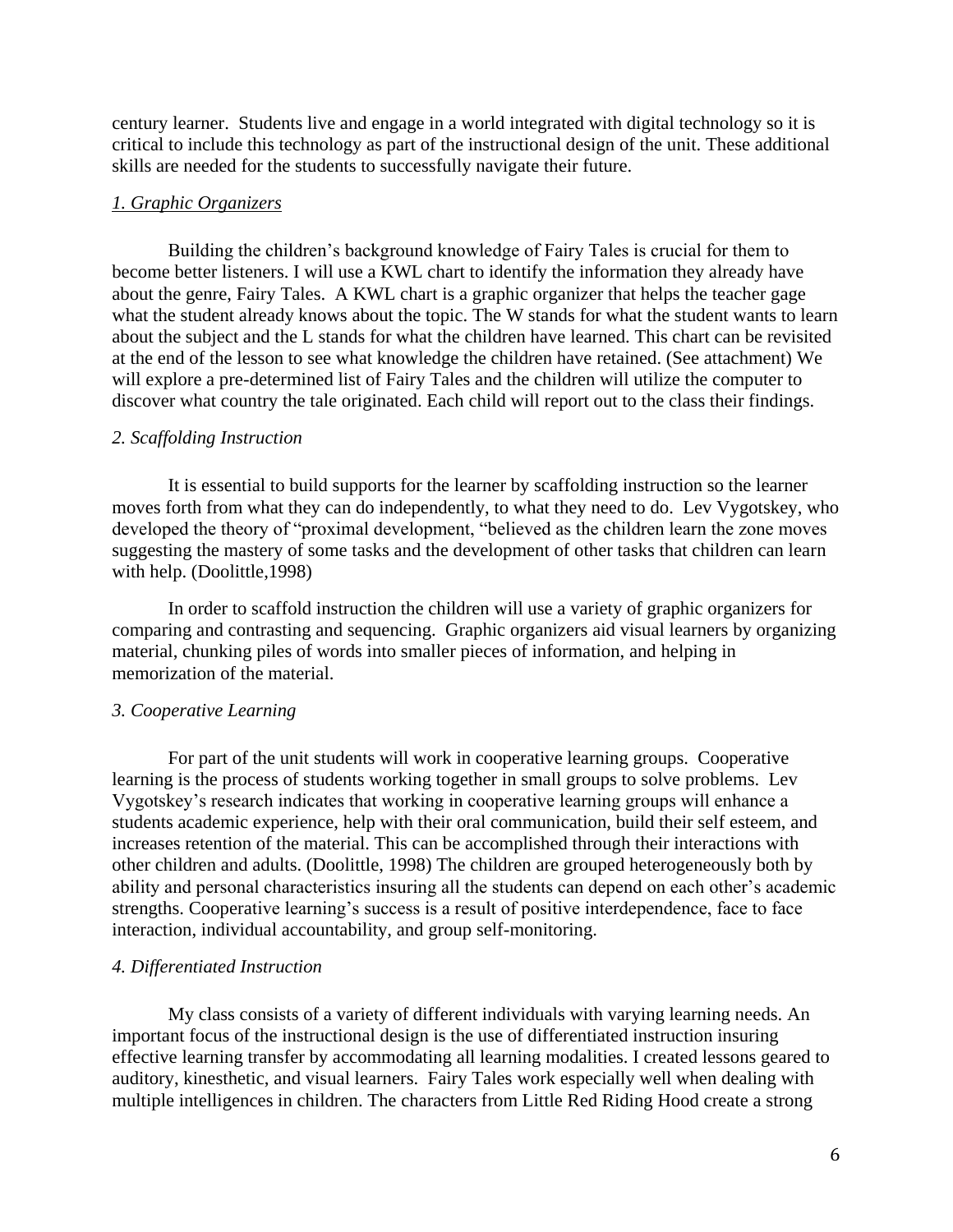century learner. Students live and engage in a world integrated with digital technology so it is critical to include this technology as part of the instructional design of the unit. These additional skills are needed for the students to successfully navigate their future.

#### *1. Graphic Organizers*

Building the children's background knowledge of Fairy Tales is crucial for them to become better listeners. I will use a KWL chart to identify the information they already have about the genre, Fairy Tales. A KWL chart is a graphic organizer that helps the teacher gage what the student already knows about the topic. The W stands for what the student wants to learn about the subject and the L stands for what the children have learned. This chart can be revisited at the end of the lesson to see what knowledge the children have retained. (See attachment) We will explore a pre-determined list of Fairy Tales and the children will utilize the computer to discover what country the tale originated. Each child will report out to the class their findings.

#### *2. Scaffolding Instruction*

It is essential to build supports for the learner by scaffolding instruction so the learner moves forth from what they can do independently, to what they need to do. Lev Vygotskey, who developed the theory of "proximal development, "believed as the children learn the zone moves suggesting the mastery of some tasks and the development of other tasks that children can learn with help. (Doolittle,1998)

In order to scaffold instruction the children will use a variety of graphic organizers for comparing and contrasting and sequencing. Graphic organizers aid visual learners by organizing material, chunking piles of words into smaller pieces of information, and helping in memorization of the material.

#### *3. Cooperative Learning*

For part of the unit students will work in cooperative learning groups. Cooperative learning is the process of students working together in small groups to solve problems. Lev Vygotskey's research indicates that working in cooperative learning groups will enhance a students academic experience, help with their oral communication, build their self esteem, and increases retention of the material. This can be accomplished through their interactions with other children and adults. (Doolittle, 1998) The children are grouped heterogeneously both by ability and personal characteristics insuring all the students can depend on each other's academic strengths. Cooperative learning's success is a result of positive interdependence, face to face interaction, individual accountability, and group self-monitoring.

## *4. Differentiated Instruction*

My class consists of a variety of different individuals with varying learning needs. An important focus of the instructional design is the use of differentiated instruction insuring effective learning transfer by accommodating all learning modalities. I created lessons geared to auditory, kinesthetic, and visual learners. Fairy Tales work especially well when dealing with multiple intelligences in children. The characters from Little Red Riding Hood create a strong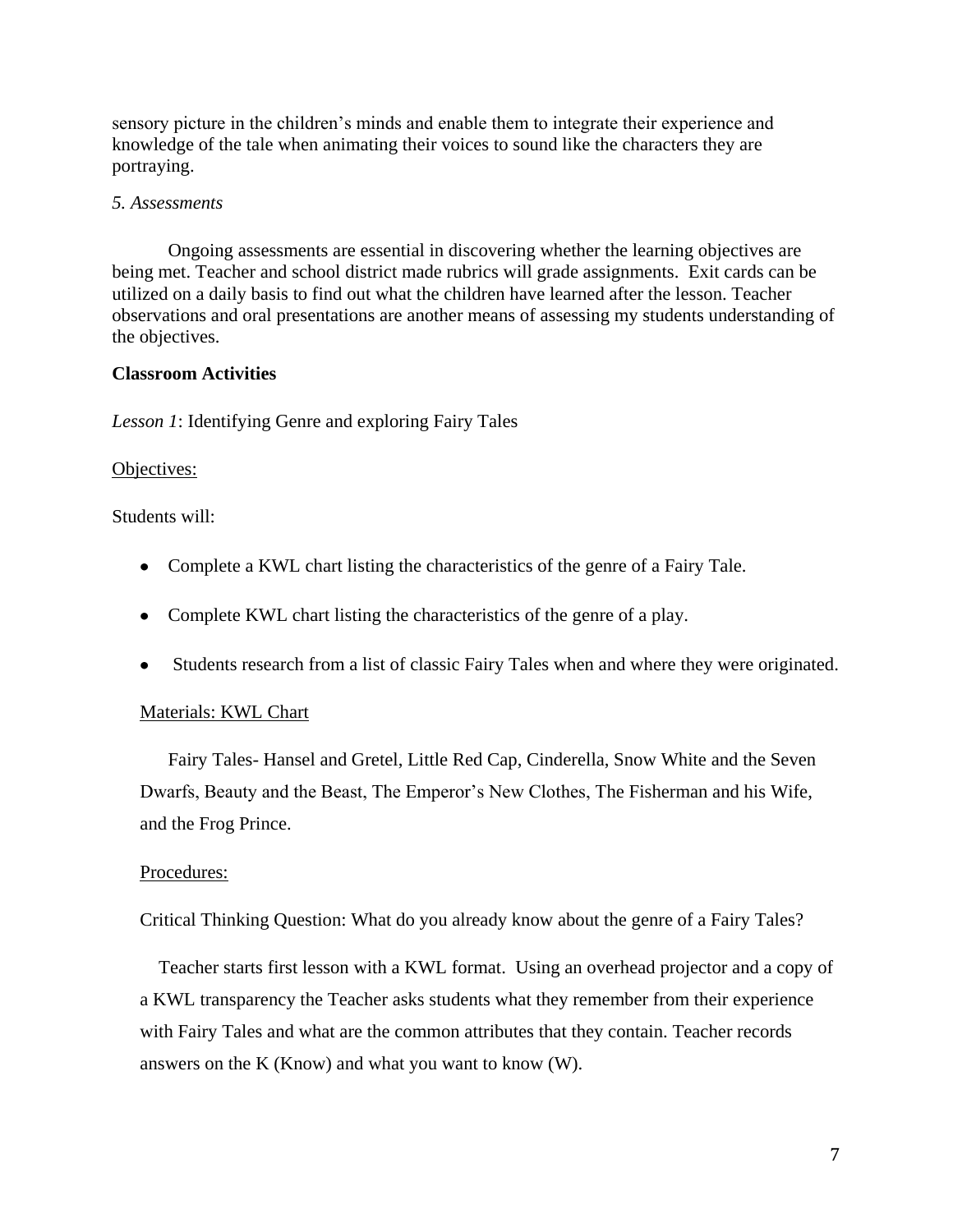sensory picture in the children's minds and enable them to integrate their experience and knowledge of the tale when animating their voices to sound like the characters they are portraying.

#### *5. Assessments*

Ongoing assessments are essential in discovering whether the learning objectives are being met. Teacher and school district made rubrics will grade assignments. Exit cards can be utilized on a daily basis to find out what the children have learned after the lesson. Teacher observations and oral presentations are another means of assessing my students understanding of the objectives.

#### **Classroom Activities**

*Lesson 1*: Identifying Genre and exploring Fairy Tales

#### Objectives:

Students will:

- Complete a KWL chart listing the characteristics of the genre of a Fairy Tale.
- Complete KWL chart listing the characteristics of the genre of a play.
- Students research from a list of classic Fairy Tales when and where they were originated.

#### Materials: KWL Chart

Fairy Tales- Hansel and Gretel, Little Red Cap, Cinderella, Snow White and the Seven Dwarfs, Beauty and the Beast, The Emperor's New Clothes, The Fisherman and his Wife, and the Frog Prince.

#### Procedures:

Critical Thinking Question: What do you already know about the genre of a Fairy Tales?

 Teacher starts first lesson with a KWL format. Using an overhead projector and a copy of a KWL transparency the Teacher asks students what they remember from their experience with Fairy Tales and what are the common attributes that they contain. Teacher records answers on the K (Know) and what you want to know (W).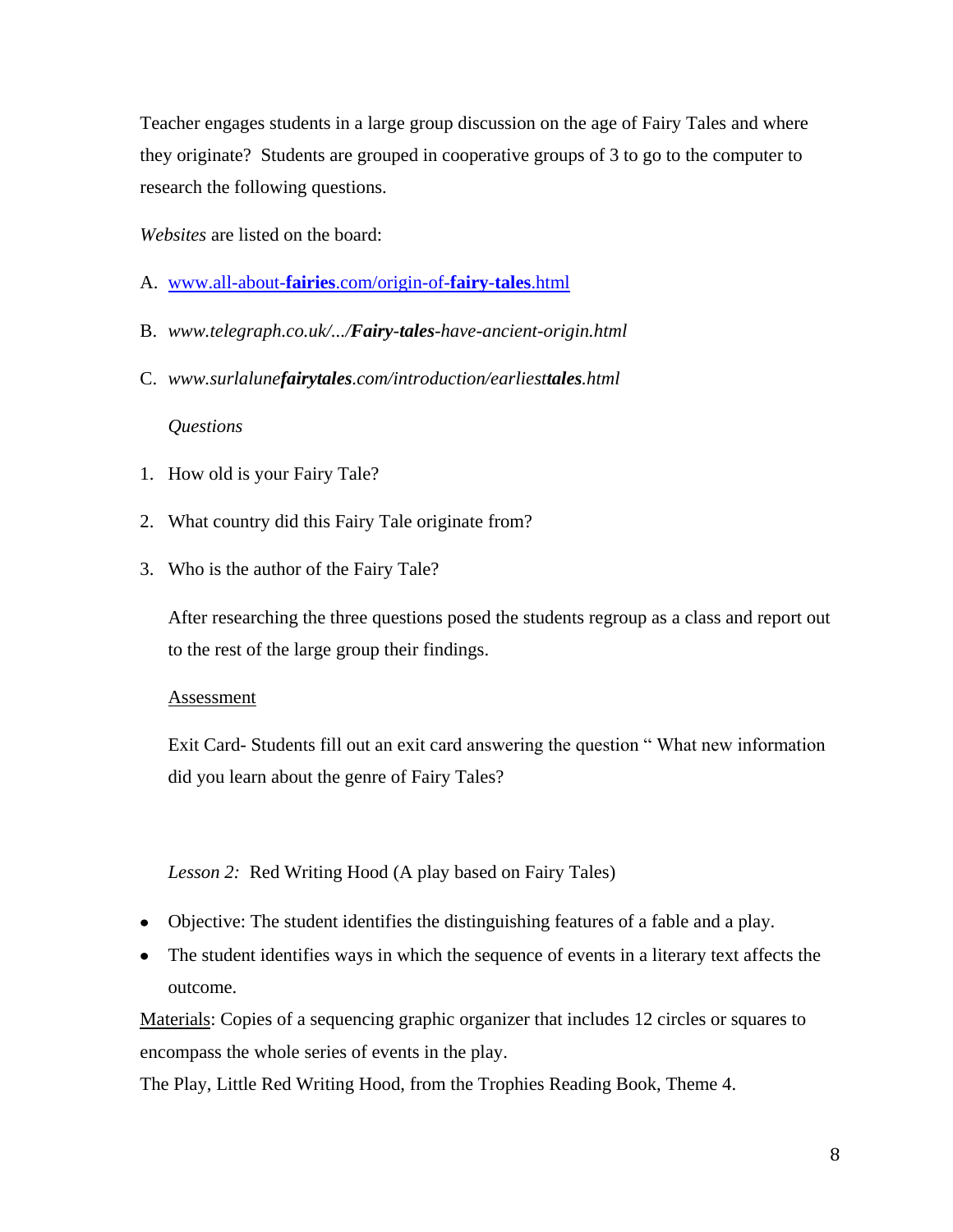Teacher engages students in a large group discussion on the age of Fairy Tales and where they originate? Students are grouped in cooperative groups of 3 to go to the computer to research the following questions.

*Websites* are listed on the board:

- A. [www.all-about-](http://www.all-about-fairies.com/origin-of-fairy-tales.html)**fairies**.com/origin-of-**fairy**-**tales**.html
- B. *www.telegraph.co.uk/.../Fairy-tales-have-ancient-origin.html*
- C. *www.surlalunefairytales.com/introduction/earliesttales.html*

#### *Questions*

- 1. How old is your Fairy Tale?
- 2. What country did this Fairy Tale originate from?
- 3. Who is the author of the Fairy Tale?

After researching the three questions posed the students regroup as a class and report out to the rest of the large group their findings.

#### **Assessment**

Exit Card- Students fill out an exit card answering the question " What new information did you learn about the genre of Fairy Tales?

#### *Lesson 2:* Red Writing Hood (A play based on Fairy Tales)

- Objective: The student identifies the distinguishing features of a fable and a play.
- The student identifies ways in which the sequence of events in a literary text affects the outcome.

Materials: Copies of a sequencing graphic organizer that includes 12 circles or squares to encompass the whole series of events in the play.

The Play, Little Red Writing Hood, from the Trophies Reading Book, Theme 4.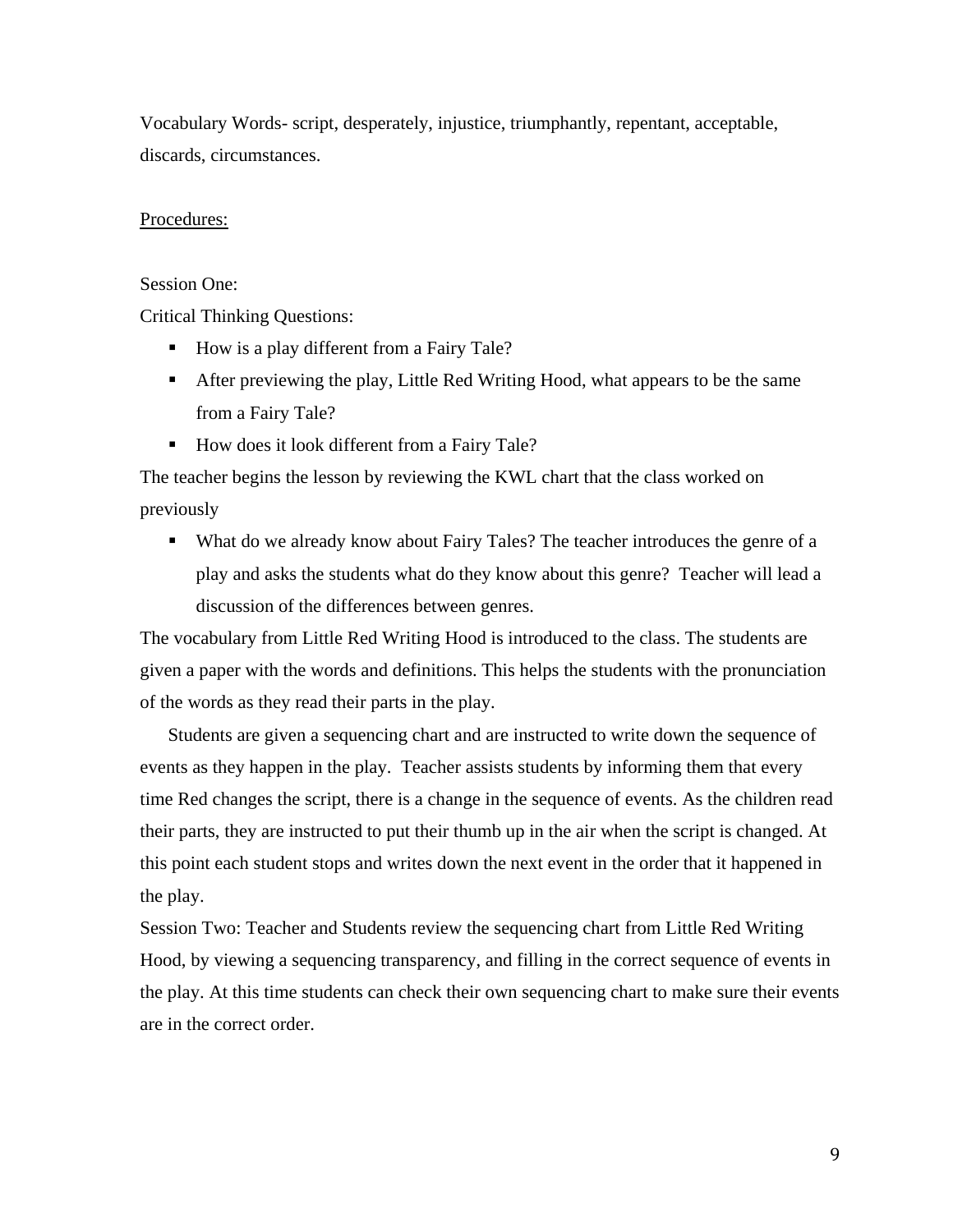Vocabulary Words- script, desperately, injustice, triumphantly, repentant, acceptable, discards, circumstances.

#### Procedures:

#### Session One:

Critical Thinking Questions:

- How is a play different from a Fairy Tale?
- After previewing the play, Little Red Writing Hood, what appears to be the same from a Fairy Tale?
- How does it look different from a Fairy Tale?

The teacher begins the lesson by reviewing the KWL chart that the class worked on previously

• What do we already know about Fairy Tales? The teacher introduces the genre of a play and asks the students what do they know about this genre? Teacher will lead a discussion of the differences between genres.

The vocabulary from Little Red Writing Hood is introduced to the class. The students are given a paper with the words and definitions. This helps the students with the pronunciation of the words as they read their parts in the play.

Students are given a sequencing chart and are instructed to write down the sequence of events as they happen in the play. Teacher assists students by informing them that every time Red changes the script, there is a change in the sequence of events. As the children read their parts, they are instructed to put their thumb up in the air when the script is changed. At this point each student stops and writes down the next event in the order that it happened in the play.

Session Two: Teacher and Students review the sequencing chart from Little Red Writing Hood, by viewing a sequencing transparency, and filling in the correct sequence of events in the play. At this time students can check their own sequencing chart to make sure their events are in the correct order.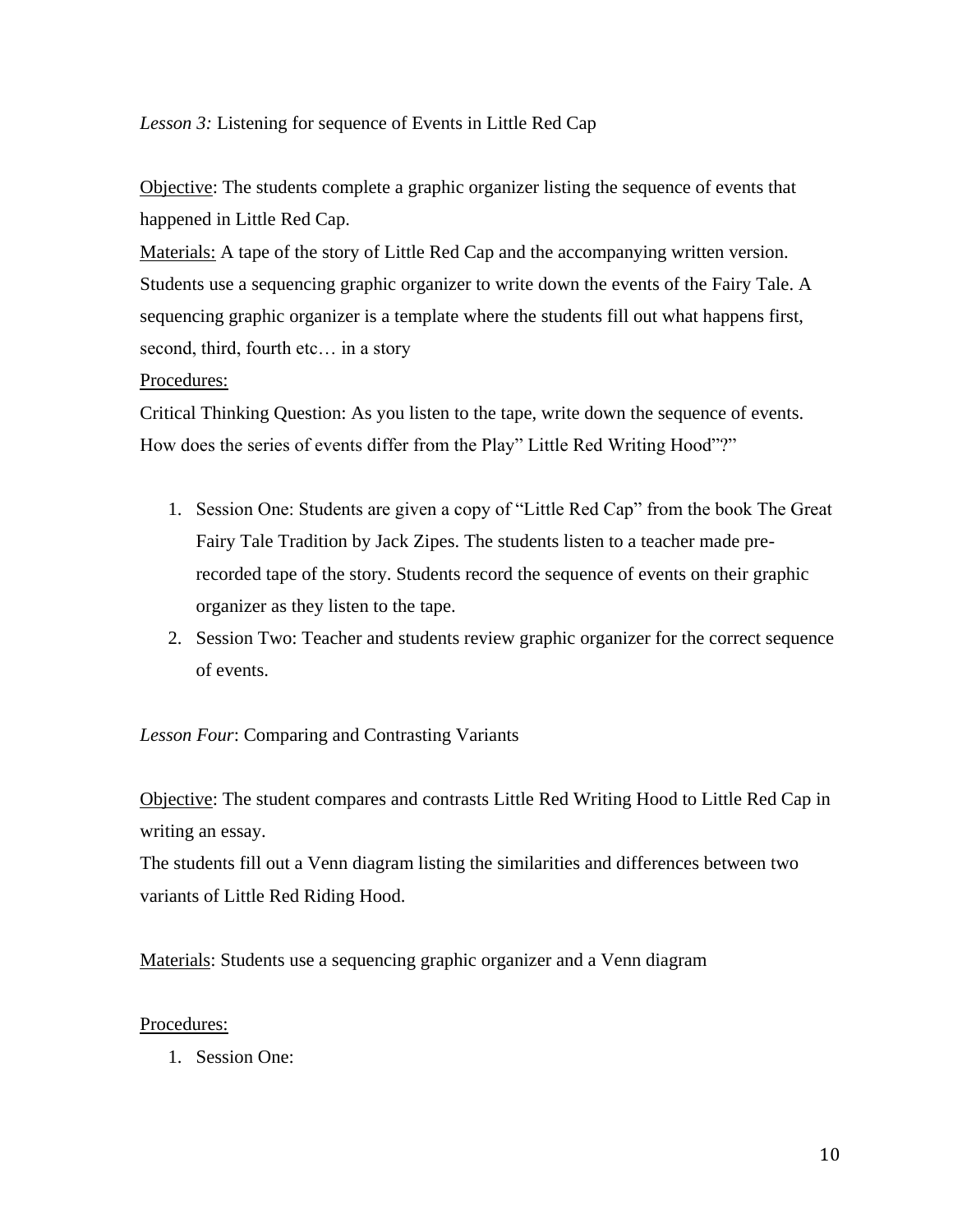*Lesson 3:* Listening for sequence of Events in Little Red Cap

Objective: The students complete a graphic organizer listing the sequence of events that happened in Little Red Cap.

Materials: A tape of the story of Little Red Cap and the accompanying written version. Students use a sequencing graphic organizer to write down the events of the Fairy Tale. A sequencing graphic organizer is a template where the students fill out what happens first, second, third, fourth etc… in a story

# Procedures:

Critical Thinking Question: As you listen to the tape, write down the sequence of events. How does the series of events differ from the Play" Little Red Writing Hood"?"

- 1. Session One: Students are given a copy of "Little Red Cap" from the book The Great Fairy Tale Tradition by Jack Zipes. The students listen to a teacher made prerecorded tape of the story. Students record the sequence of events on their graphic organizer as they listen to the tape.
- 2. Session Two: Teacher and students review graphic organizer for the correct sequence of events.

# *Lesson Four*: Comparing and Contrasting Variants

Objective: The student compares and contrasts Little Red Writing Hood to Little Red Cap in writing an essay.

The students fill out a Venn diagram listing the similarities and differences between two variants of Little Red Riding Hood.

Materials: Students use a sequencing graphic organizer and a Venn diagram

#### Procedures:

1. Session One: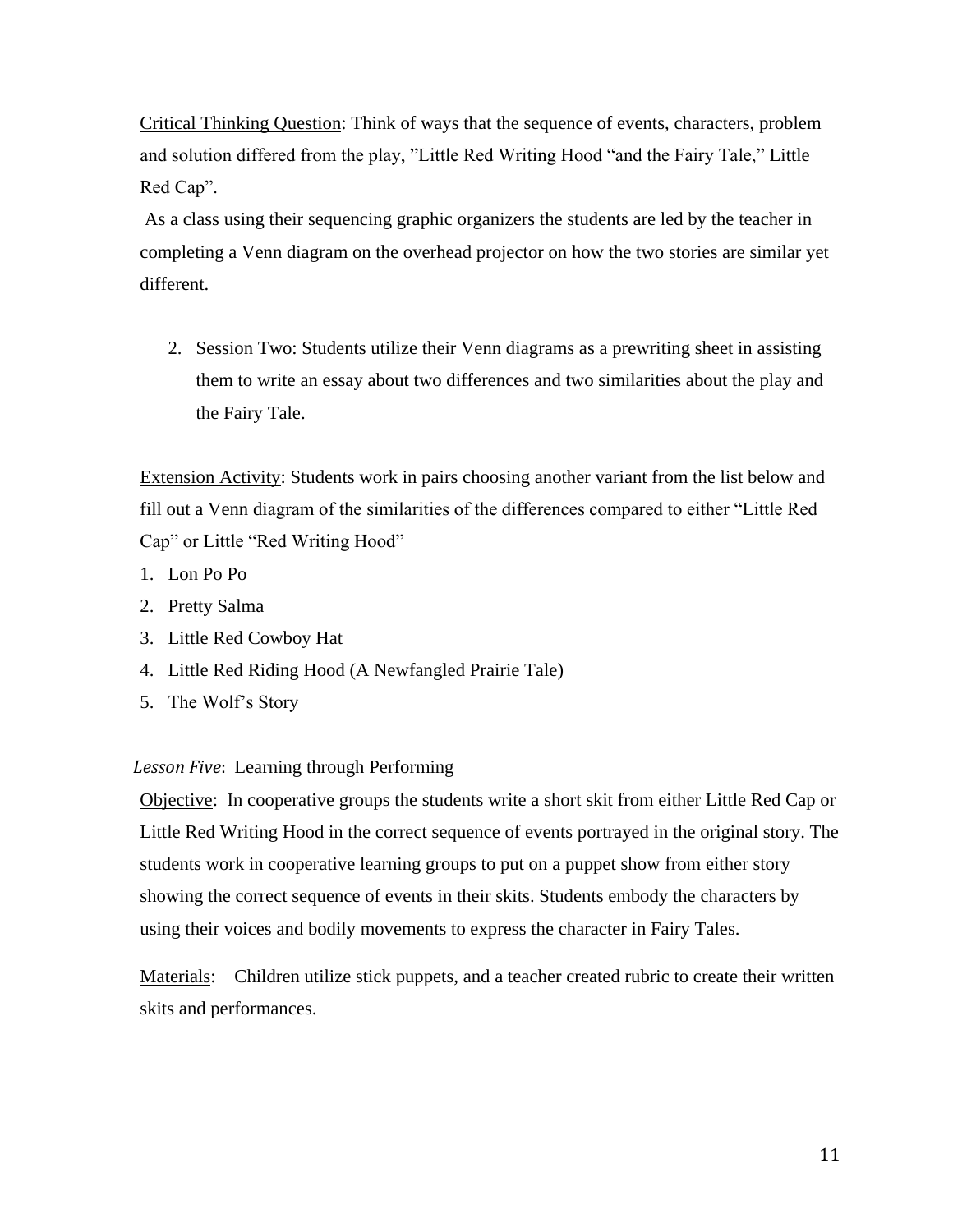Critical Thinking Question: Think of ways that the sequence of events, characters, problem and solution differed from the play, "Little Red Writing Hood "and the Fairy Tale," Little Red Cap".

As a class using their sequencing graphic organizers the students are led by the teacher in completing a Venn diagram on the overhead projector on how the two stories are similar yet different.

2. Session Two: Students utilize their Venn diagrams as a prewriting sheet in assisting them to write an essay about two differences and two similarities about the play and the Fairy Tale.

Extension Activity: Students work in pairs choosing another variant from the list below and fill out a Venn diagram of the similarities of the differences compared to either "Little Red Cap" or Little "Red Writing Hood"

- 1. Lon Po Po
- 2. Pretty Salma
- 3. Little Red Cowboy Hat
- 4. Little Red Riding Hood (A Newfangled Prairie Tale)
- 5. The Wolf's Story

# *Lesson Five*: Learning through Performing

Objective: In cooperative groups the students write a short skit from either Little Red Cap or Little Red Writing Hood in the correct sequence of events portrayed in the original story. The students work in cooperative learning groups to put on a puppet show from either story showing the correct sequence of events in their skits. Students embody the characters by using their voices and bodily movements to express the character in Fairy Tales.

Materials: Children utilize stick puppets, and a teacher created rubric to create their written skits and performances.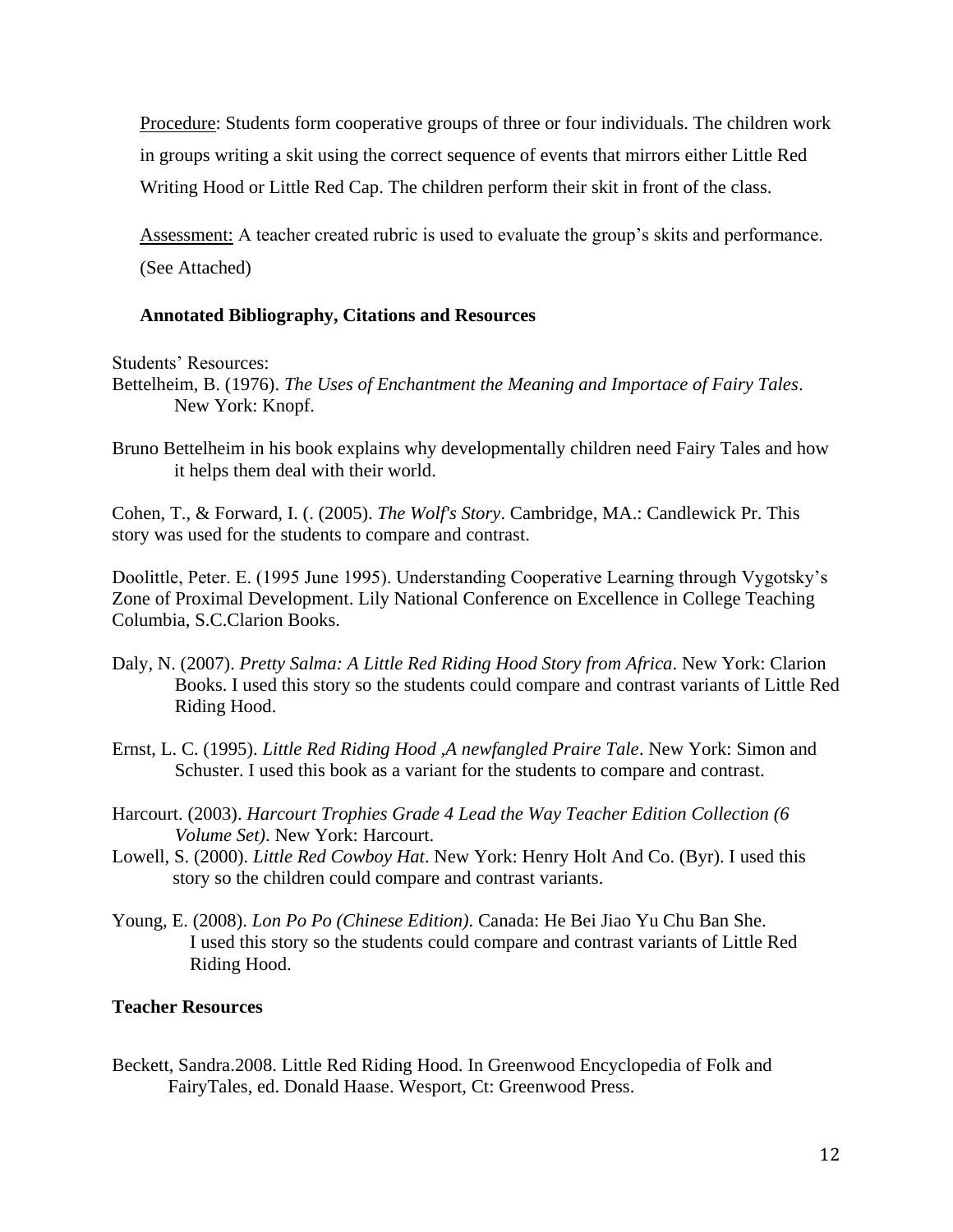Procedure: Students form cooperative groups of three or four individuals. The children work in groups writing a skit using the correct sequence of events that mirrors either Little Red Writing Hood or Little Red Cap. The children perform their skit in front of the class.

Assessment: A teacher created rubric is used to evaluate the group's skits and performance. (See Attached)

# **Annotated Bibliography, Citations and Resources**

Students' Resources:

- Bettelheim, B. (1976). *The Uses of Enchantment the Meaning and Importace of Fairy Tales*. New York: Knopf.
- Bruno Bettelheim in his book explains why developmentally children need Fairy Tales and how it helps them deal with their world.

Cohen, T., & Forward, I. (. (2005). *The Wolf's Story*. Cambridge, MA.: Candlewick Pr. This story was used for the students to compare and contrast.

Doolittle, Peter. E. (1995 June 1995). Understanding Cooperative Learning through Vygotsky's Zone of Proximal Development. Lily National Conference on Excellence in College Teaching Columbia, S.C.Clarion Books.

- Daly, N. (2007). *Pretty Salma: A Little Red Riding Hood Story from Africa*. New York: Clarion Books. I used this story so the students could compare and contrast variants of Little Red Riding Hood.
- Ernst, L. C. (1995). *Little Red Riding Hood ,A newfangled Praire Tale*. New York: Simon and Schuster. I used this book as a variant for the students to compare and contrast.
- Harcourt. (2003). *Harcourt Trophies Grade 4 Lead the Way Teacher Edition Collection (6 Volume Set)*. New York: Harcourt.
- Lowell, S. (2000). *Little Red Cowboy Hat*. New York: Henry Holt And Co. (Byr). I used this story so the children could compare and contrast variants.
- Young, E. (2008). *Lon Po Po (Chinese Edition)*. Canada: He Bei Jiao Yu Chu Ban She. I used this story so the students could compare and contrast variants of Little Red Riding Hood.

#### **Teacher Resources**

Beckett, Sandra.2008. Little Red Riding Hood. In Greenwood Encyclopedia of Folk and FairyTales, ed. Donald Haase. Wesport, Ct: Greenwood Press.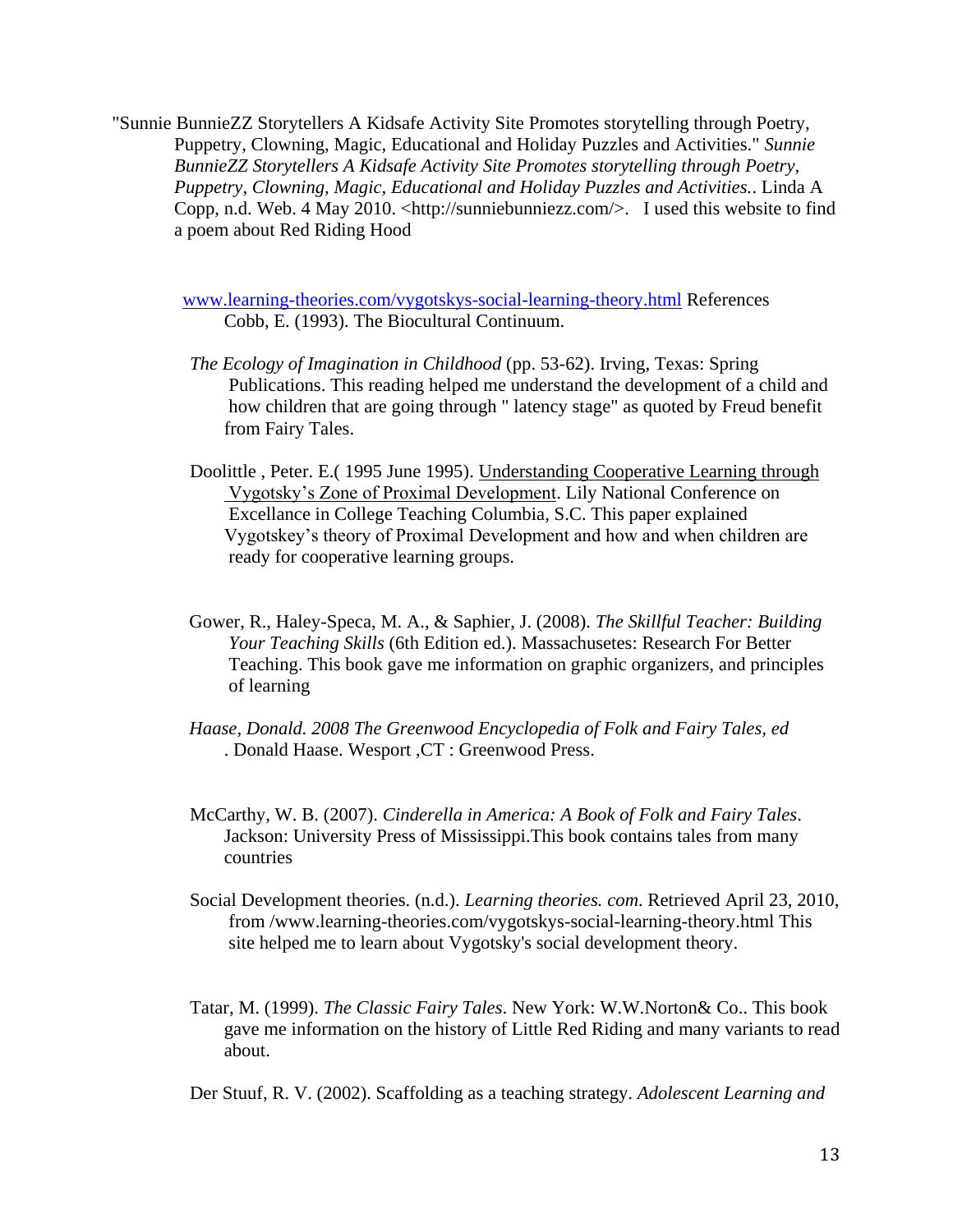"Sunnie BunnieZZ Storytellers A Kidsafe Activity Site Promotes storytelling through Poetry, Puppetry, Clowning, Magic, Educational and Holiday Puzzles and Activities." *Sunnie BunnieZZ Storytellers A Kidsafe Activity Site Promotes storytelling through Poetry, Puppetry, Clowning, Magic, Educational and Holiday Puzzles and Activities.*. Linda A Copp, n.d. Web. 4 May 2010. <http://sunniebunniezz.com/>. I used this website to find a poem about Red Riding Hood

[www.learning-theories.com/vygotskys-social-learning-theory.html](http://www.learning-theories.com/vygotskys-social-learning-theory.html) References Cobb, E. (1993). The Biocultural Continuum.

- *The Ecology of Imagination in Childhood* (pp. 53-62). Irving, Texas: Spring Publications. This reading helped me understand the development of a child and how children that are going through " latency stage" as quoted by Freud benefit from Fairy Tales.
- Doolittle , Peter. E.( 1995 June 1995). Understanding Cooperative Learning through Vygotsky's Zone of Proximal Development. Lily National Conference on Excellance in College Teaching Columbia, S.C. This paper explained Vygotskey's theory of Proximal Development and how and when children are ready for cooperative learning groups.
- Gower, R., Haley-Speca, M. A., & Saphier, J. (2008). *The Skillful Teacher: Building Your Teaching Skills* (6th Edition ed.). Massachusetes: Research For Better Teaching. This book gave me information on graphic organizers, and principles of learning
- *Haase, Donald. 2008 The Greenwood Encyclopedia of Folk and Fairy Tales, ed* . Donald Haase. Wesport ,CT : Greenwood Press.
- McCarthy, W. B. (2007). *Cinderella in America: A Book of Folk and Fairy Tales*. Jackson: University Press of Mississippi.This book contains tales from many countries
- Social Development theories. (n.d.). *Learning theories. com*. Retrieved April 23, 2010, from /www.learning-theories.com/vygotskys-social-learning-theory.html This site helped me to learn about Vygotsky's social development theory.
- Tatar, M. (1999). *The Classic Fairy Tales*. New York: W.W.Norton& Co.. This book gave me information on the history of Little Red Riding and many variants to read about.

Der Stuuf, R. V. (2002). Scaffolding as a teaching strategy. *Adolescent Learning and*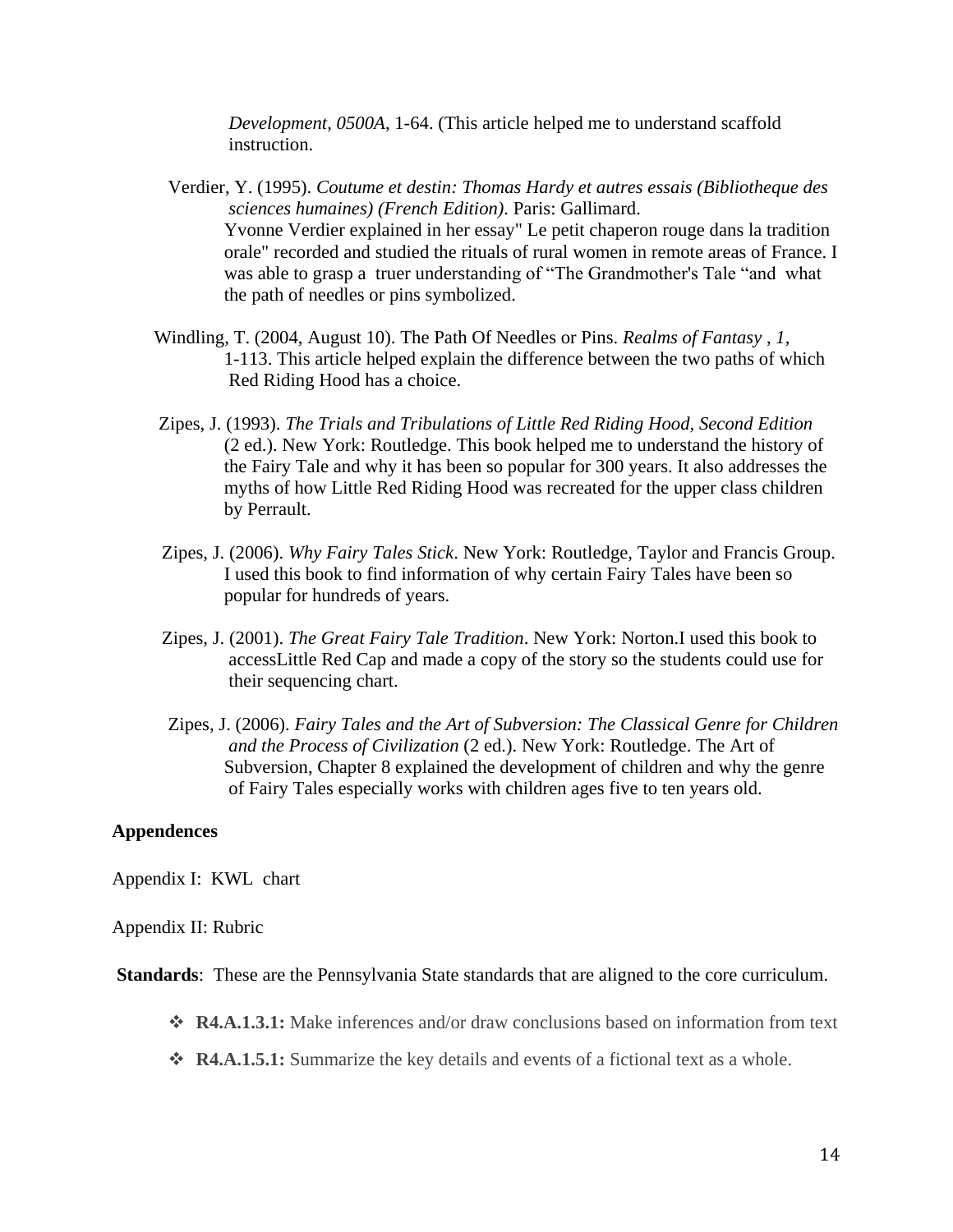*Development*, *0500A*, 1-64. (This article helped me to understand scaffold instruction.

- Verdier, Y. (1995). *Coutume et destin: Thomas Hardy et autres essais (Bibliotheque des sciences humaines) (French Edition)*. Paris: Gallimard. Yvonne Verdier explained in her essay" Le petit chaperon rouge dans la tradition orale" recorded and studied the rituals of rural women in remote areas of France. I was able to grasp a truer understanding of "The Grandmother's Tale "and what the path of needles or pins symbolized.
- Windling, T. (2004, August 10). The Path Of Needles or Pins. *Realms of Fantasy* , *1*, 1-113. This article helped explain the difference between the two paths of which Red Riding Hood has a choice.
- Zipes, J. (1993). *The Trials and Tribulations of Little Red Riding Hood, Second Edition* (2 ed.). New York: Routledge. This book helped me to understand the history of the Fairy Tale and why it has been so popular for 300 years. It also addresses the myths of how Little Red Riding Hood was recreated for the upper class children by Perrault.
- Zipes, J. (2006). *Why Fairy Tales Stick*. New York: Routledge, Taylor and Francis Group. I used this book to find information of why certain Fairy Tales have been so popular for hundreds of years.
- Zipes, J. (2001). *The Great Fairy Tale Tradition*. New York: Norton.I used this book to accessLittle Red Cap and made a copy of the story so the students could use for their sequencing chart.
- Zipes, J. (2006). *Fairy Tales and the Art of Subversion: The Classical Genre for Children and the Process of Civilization* (2 ed.). New York: Routledge. The Art of Subversion, Chapter 8 explained the development of children and why the genre of Fairy Tales especially works with children ages five to ten years old.

#### **Appendences**

Appendix I: KWL chart

#### Appendix II: Rubric

**Standards**: These are the Pennsylvania State standards that are aligned to the core curriculum.

- **R4.A.1.3.1:** Make inferences and/or draw conclusions based on information from text
- **R4.A.1.5.1:** Summarize the key details and events of a fictional text as a whole.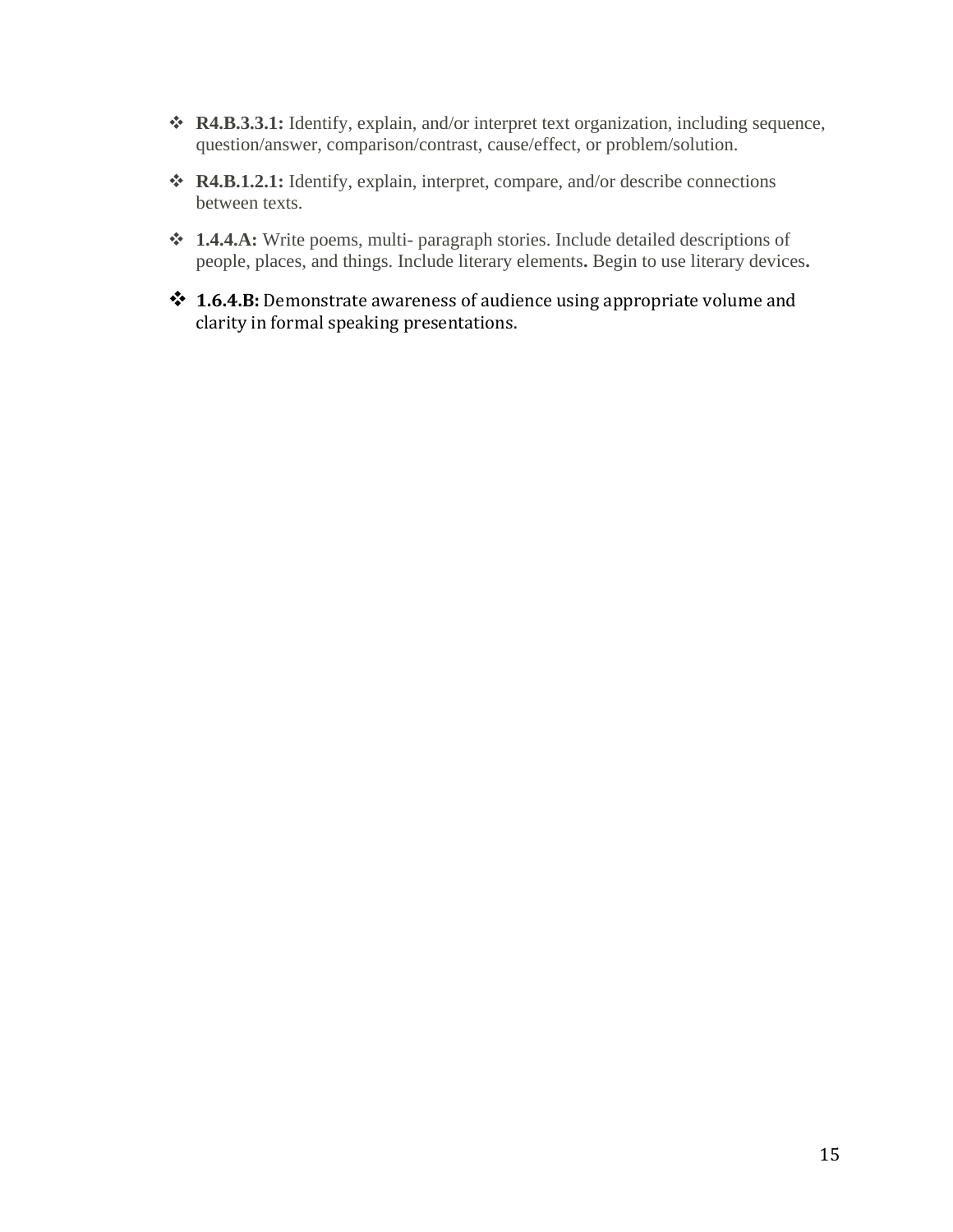- **R4.B.3.3.1:** Identify, explain, and/or interpret text organization, including sequence, question/answer, comparison/contrast, cause/effect, or problem/solution.
- **R4.B.1.2.1:** Identify, explain, interpret, compare, and/or describe connections between texts.
- **1.4.4.A:** Write poems, multi- paragraph stories. Include detailed descriptions of people, places, and things. Include literary elements**.** Begin to use literary devices**.**
- **1.6.4.B:** Demonstrate awareness of audience using appropriate volume and clarity in formal speaking presentations.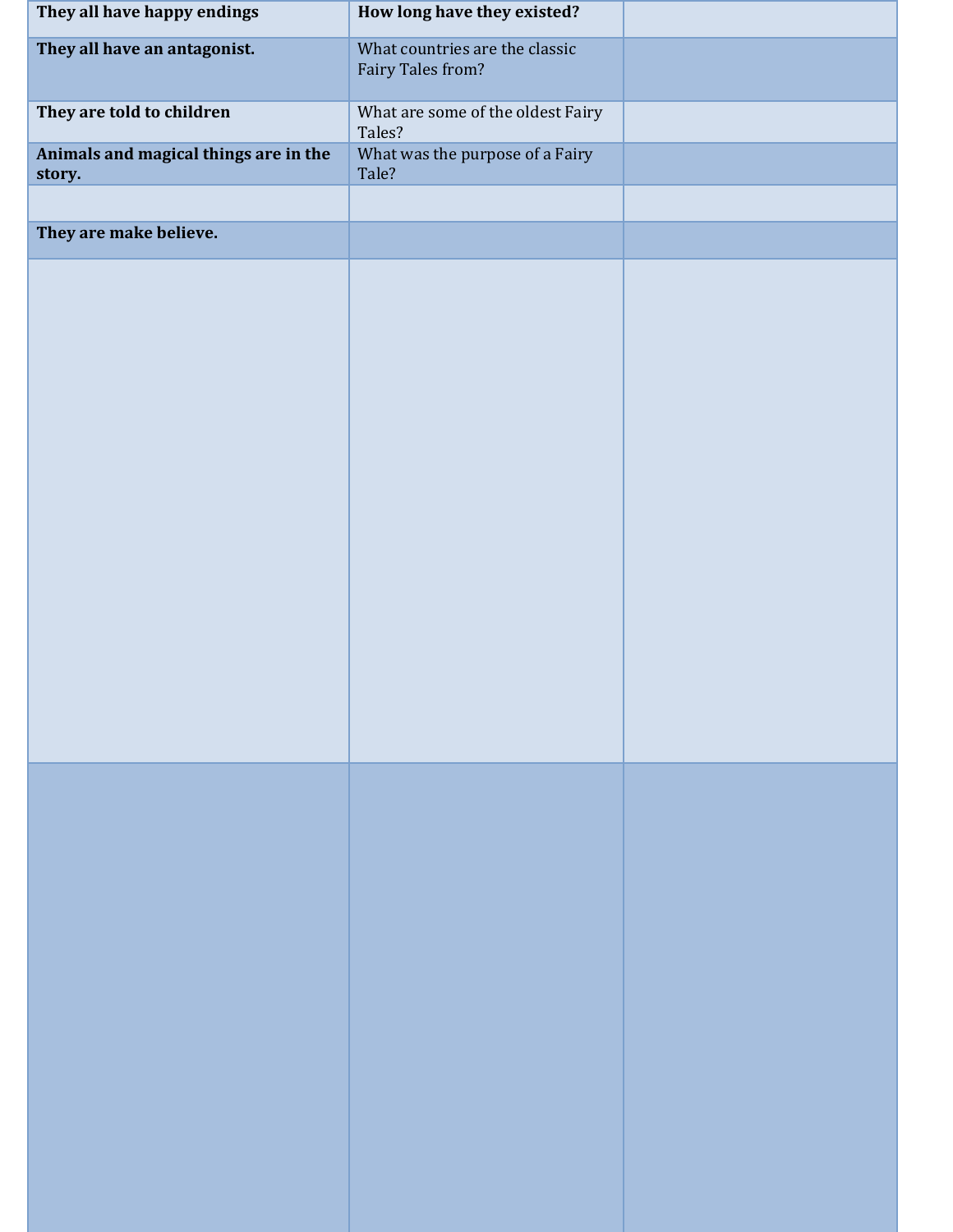| They all have happy endings                     | How long have they existed?                         |  |
|-------------------------------------------------|-----------------------------------------------------|--|
| They all have an antagonist.                    | What countries are the classic<br>Fairy Tales from? |  |
| They are told to children                       | What are some of the oldest Fairy<br>Tales?         |  |
| Animals and magical things are in the<br>story. | What was the purpose of a Fairy<br>Tale?            |  |
| They are make believe.                          |                                                     |  |
|                                                 |                                                     |  |
|                                                 |                                                     |  |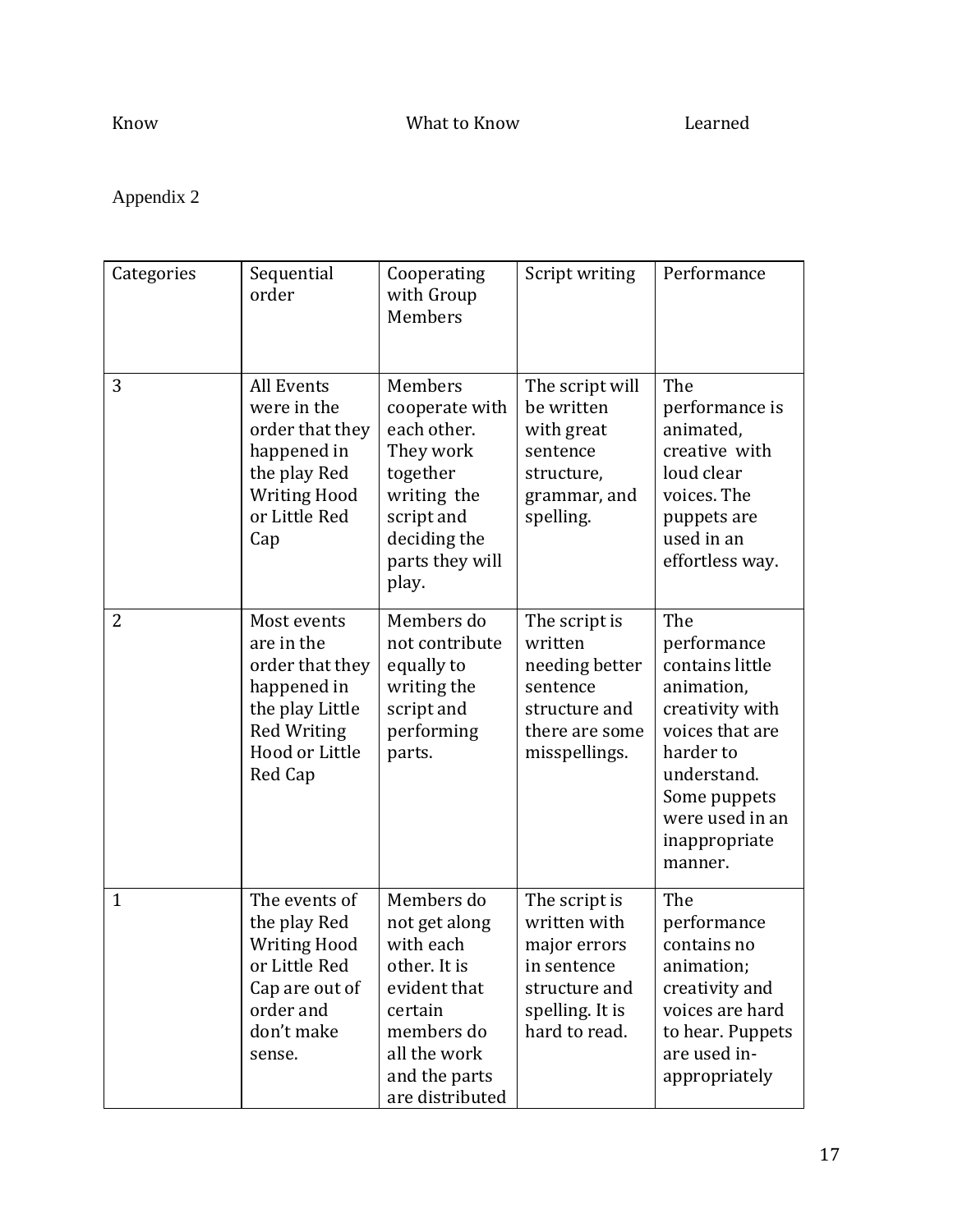# Appendix 2

| Categories     | Sequential<br>order                                                                                                               | Cooperating<br>with Group<br>Members                                                                                                                  | Script writing                                                                                                    | Performance                                                                                                                                                                          |
|----------------|-----------------------------------------------------------------------------------------------------------------------------------|-------------------------------------------------------------------------------------------------------------------------------------------------------|-------------------------------------------------------------------------------------------------------------------|--------------------------------------------------------------------------------------------------------------------------------------------------------------------------------------|
| 3              | <b>All Events</b><br>were in the<br>order that they<br>happened in<br>the play Red<br><b>Writing Hood</b><br>or Little Red<br>Cap | Members<br>cooperate with<br>each other.<br>They work<br>together<br>writing the<br>script and<br>deciding the<br>parts they will<br>play.            | The script will<br>be written<br>with great<br>sentence<br>structure,<br>grammar, and<br>spelling.                | The<br>performance is<br>animated,<br>creative with<br>loud clear<br>voices. The<br>puppets are<br>used in an<br>effortless way.                                                     |
| $\overline{2}$ | Most events<br>are in the<br>order that they<br>happened in<br>the play Little<br><b>Red Writing</b><br>Hood or Little<br>Red Cap | Members do<br>not contribute<br>equally to<br>writing the<br>script and<br>performing<br>parts.                                                       | The script is<br>written<br>needing better<br>sentence<br>structure and<br>there are some<br>misspellings.        | The<br>performance<br>contains little<br>animation,<br>creativity with<br>voices that are<br>harder to<br>understand.<br>Some puppets<br>were used in an<br>inappropriate<br>manner. |
| $\mathbf{1}$   | The events of<br>the play Red<br><b>Writing Hood</b><br>or Little Red<br>Cap are out of<br>order and<br>don't make<br>sense.      | Members do<br>not get along<br>with each<br>other. It is<br>evident that<br>certain<br>members do<br>all the work<br>and the parts<br>are distributed | The script is<br>written with<br>major errors<br>in sentence<br>structure and<br>spelling. It is<br>hard to read. | The<br>performance<br>contains no<br>animation;<br>creativity and<br>voices are hard<br>to hear. Puppets<br>are used in-<br>appropriately                                            |